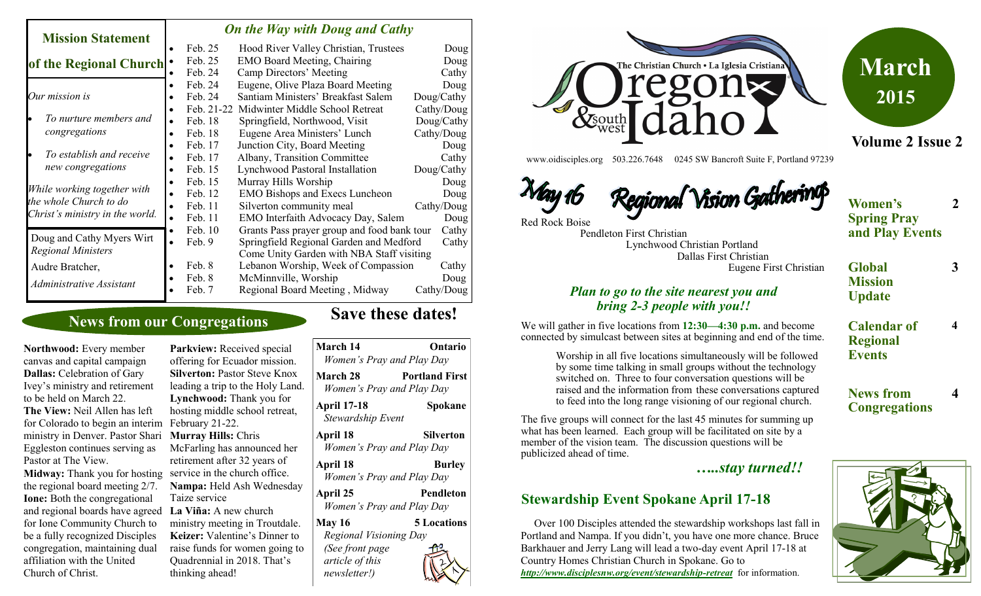| <b>Mission Statement</b>                                                                 |           | <b>On the Way with Doug and Cathy</b> |                                             |            |  |
|------------------------------------------------------------------------------------------|-----------|---------------------------------------|---------------------------------------------|------------|--|
|                                                                                          |           | Feb. 25                               | Hood River Valley Christian, Trustees       | Doug       |  |
| of the Regional Church                                                                   |           | Feb. 25                               | <b>EMO Board Meeting, Chairing</b>          | Doug       |  |
|                                                                                          |           | Feb. 24                               | Camp Directors' Meeting                     | Cathy      |  |
| Our mission is                                                                           | $\bullet$ | Feb. 24                               | Eugene, Olive Plaza Board Meeting           | Doug       |  |
|                                                                                          | $\bullet$ | Feb. 24                               | Santiam Ministers' Breakfast Salem          | Doug/Cathy |  |
| To nurture members and<br>congregations                                                  |           | Feb. 21-22                            | Midwinter Middle School Retreat             | Cathy/Doug |  |
|                                                                                          | $\bullet$ | Feb. 18                               | Springfield, Northwood, Visit               | Doug/Cathy |  |
|                                                                                          | $\bullet$ | Feb. 18                               | Eugene Area Ministers' Lunch                | Cathy/Doug |  |
| To establish and receive<br>new congregations                                            | $\bullet$ | Feb. 17                               | Junction City, Board Meeting                | Doug       |  |
|                                                                                          | $\bullet$ | Feb. 17                               | Albany, Transition Committee                | Cathy      |  |
|                                                                                          | $\bullet$ | Feb. 15                               | Lynchwood Pastoral Installation             | Doug/Cathy |  |
| While working together with<br>the whole Church to do<br>Christ's ministry in the world. | $\bullet$ | Feb. 15                               | Murray Hills Worship                        | Doug       |  |
|                                                                                          | $\bullet$ | Feb. 12                               | <b>EMO Bishops and Execs Luncheon</b>       | Doug       |  |
|                                                                                          | $\bullet$ | Feb. 11                               | Silverton community meal                    | Cathy/Doug |  |
|                                                                                          | $\bullet$ | Feb. 11                               | EMO Interfaith Advocacy Day, Salem          | Doug       |  |
| Doug and Cathy Myers Wirt<br><b>Regional Ministers</b>                                   | $\bullet$ | Feb. 10                               | Grants Pass prayer group and food bank tour | Cathy      |  |
|                                                                                          | $\bullet$ | Feb. 9                                | Springfield Regional Garden and Medford     | Cathy      |  |
|                                                                                          |           |                                       | Come Unity Garden with NBA Staff visiting   |            |  |
| Audre Bratcher,                                                                          | $\bullet$ | Feb. 8                                | Lebanon Worship, Week of Compassion         | Cathy      |  |
| Administrative Assistant                                                                 |           | Feb. 8                                | McMinnville, Worship                        | Doug       |  |
|                                                                                          |           | Feb. 7                                | Regional Board Meeting, Midway              | Cathy/Doug |  |

### **News from our Congregations**

**Northwood:** Every member canvas and capital campaign **Dallas:** Celebration of Gary Ivey's ministry and retirement to be held on March 22.

**The View:** Neil Allen has left for Colorado to begin an interim ministry in Denver. Pastor Shari Eggleston continues serving as Pastor at The View.

Midway: Thank you for hosting service in the church office. the regional board meeting 2/7. **Ione:** Both the congregational and regional boards have agreed for Ione Community Church to be a fully recognized Disciples congregation, maintaining dual affiliation with the United Church of Christ.

**Parkview:** Received special offering for Ecuador mission. **Silverton: Pastor Steve Knox** leading a trip to the Holy Land. **Lynchwood:** Thank you for hosting middle school retreat, February 21-22. **Murray Hills:** Chris McFarling has announced her retirement after 32 years of **Nampa:** Held Ash Wednesday Taize service **La Viña:** A new church ministry meeting in Troutdale. **Keizer:** Valentine's Dinner to raise funds for women going to Quadrennial in 2018. That's thinking ahead!

| March 14                                           | Ontario<br>Women's Pray and Play Day               |
|----------------------------------------------------|----------------------------------------------------|
| March 28                                           | <b>Portland First</b><br>Women's Pray and Play Day |
| <b>April 17-18</b><br>Stewardship Event            | Spokane                                            |
| April 18                                           | Silverton<br>Women's Pray and Play Day             |
| April 18                                           | <b>Burley</b><br>Women's Pray and Play Day         |
| April 25                                           | <b>Pendleton</b><br>Women's Pray and Play Day      |
| <b>May 16</b><br>Regional Visioning Day            | <b>5 Locations</b>                                 |
| (See front page<br>article of this<br>newsletter!) |                                                    |

トリン

**Save these dates!** 



www.oidisciples.org 503.226.7648 0245 SW Bancroft Suite F, Portland 97239

Regional Vision Gathering May 16 Red Rock Boise



 Pendleton First Christian Lynchwood Christian Portland Dallas First Christian

**Women's Spring Pray and Play Events 2**

**3**

**4**

**4**

**Volume 2 Issue 2**

**March**

**2015**

- **Global Mission Update**
	- **Calendar of Regional Events**

**News from Congregations**

to feed into the long range visioning of our regional church. The five groups will connect for the last 45 minutes for summing up what has been learned. Each group will be facilitated on site by a member of the vision team. The discussion questions will be publicized ahead of time.

*…..stay turned!!*

#### **Stewardship Event Spokane April 17-18**

 Over 100 Disciples attended the stewardship workshops last fall in Portland and Nampa. If you didn't, you have one more chance. Bruce Barkhauer and Jerry Lang will lead a two-day event April 17-18 at Country Homes Christian Church in Spokane. Go to *[http://www.disciplesnw.org/event/stewardship](http://www.disciplesnw.org/event/stewardship-retreat)-retreat* for information.



*Plan to go to the site nearest you and bring 2-3 people with you!!*

Worship in all five locations simultaneously will be followed by some time talking in small groups without the technology switched on. Three to four conversation questions will be raised and the information from these conversations captured

We will gather in five locations from **12:30—4:30 p.m.** and become connected by simulcast between sites at beginning and end of the time.

Eugene First Christian